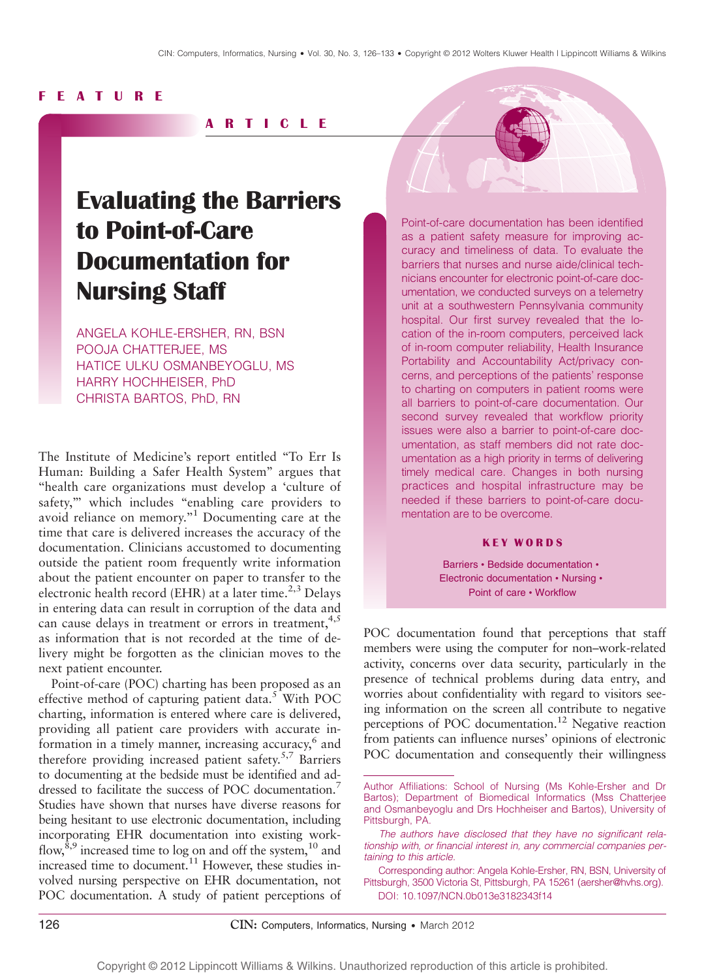### FEATURE

### **RTICLE**

# Evaluating the Barriers to Point-of-Care Documentation for Nursing Staff

ANGELA KOHLE-ERSHER, RN, BSN POOJA CHATTERJEE, MS HATICE ULKU OSMANBEYOGLU, MS HARRY HOCHHEISER, PhD CHRISTA BARTOS, PhD, RN

The Institute of Medicine's report entitled ''To Err Is Human: Building a Safer Health System'' argues that ''health care organizations must develop a 'culture of safety," which includes "enabling care providers to avoid reliance on memory.''1 Documenting care at the time that care is delivered increases the accuracy of the documentation. Clinicians accustomed to documenting outside the patient room frequently write information about the patient encounter on paper to transfer to the electronic health record (EHR) at a later time.<sup>2,3</sup> Delays in entering data can result in corruption of the data and can cause delays in treatment or errors in treatment,  $4,5$ as information that is not recorded at the time of delivery might be forgotten as the clinician moves to the next patient encounter.

Point-of-care (POC) charting has been proposed as an effective method of capturing patient data.<sup>5</sup> With POC charting, information is entered where care is delivered, providing all patient care providers with accurate information in a timely manner, increasing accuracy,<sup>6</sup> and therefore providing increased patient safety.<sup>5,7</sup> Barriers to documenting at the bedside must be identified and addressed to facilitate the success of POC documentation.<sup>7</sup> Studies have shown that nurses have diverse reasons for being hesitant to use electronic documentation, including incorporating EHR documentation into existing workflow, $8,9$  increased time to log on and off the system,  $10$  and increased time to document.<sup>11</sup> However, these studies involved nursing perspective on EHR documentation, not POC documentation. A study of patient perceptions of

Point-of-care documentation has been identified as a patient safety measure for improving accuracy and timeliness of data. To evaluate the barriers that nurses and nurse aide/clinical technicians encounter for electronic point-of-care documentation, we conducted surveys on a telemetry unit at a southwestern Pennsylvania community hospital. Our first survey revealed that the location of the in-room computers, perceived lack of in-room computer reliability, Health Insurance Portability and Accountability Act/privacy concerns, and perceptions of the patients' response to charting on computers in patient rooms were all barriers to point-of-care documentation. Our second survey revealed that workflow priority issues were also a barrier to point-of-care documentation, as staff members did not rate documentation as a high priority in terms of delivering timely medical care. Changes in both nursing practices and hospital infrastructure may be needed if these barriers to point-of-care documentation are to be overcome.

#### KEY WORDS

Barriers · Bedside documentation · Electronic documentation • Nursing • Point of care • Workflow

POC documentation found that perceptions that staff members were using the computer for non–work-related activity, concerns over data security, particularly in the presence of technical problems during data entry, and worries about confidentiality with regard to visitors seeing information on the screen all contribute to negative perceptions of POC documentation.<sup>12</sup> Negative reaction from patients can influence nurses' opinions of electronic POC documentation and consequently their willingness

Corresponding author: Angela Kohle-Ersher, RN, BSN, University of Pittsburgh, 3500 Victoria St, Pittsburgh, PA 15261 (aersher@hvhs.org). DOI: 10.1097/NCN.0b013e3182343f14

Author Affiliations: School of Nursing (Ms Kohle-Ersher and Dr Bartos); Department of Biomedical Informatics (Mss Chatterjee and Osmanbeyoglu and Drs Hochheiser and Bartos), University of Pittsburgh, PA.

The authors have disclosed that they have no significant relationship with, or financial interest in, any commercial companies pertaining to this article.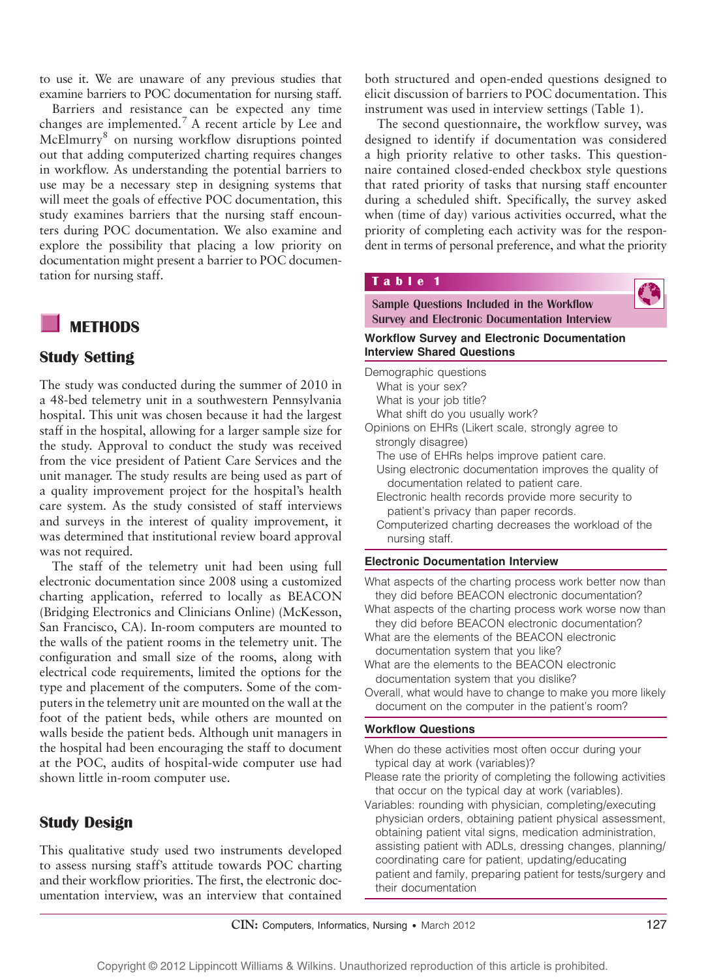to use it. We are unaware of any previous studies that examine barriers to POC documentation for nursing staff.

Barriers and resistance can be expected any time changes are implemented. $^7$  A recent article by Lee and McElmurry<sup>8</sup> on nursing workflow disruptions pointed out that adding computerized charting requires changes in workflow. As understanding the potential barriers to use may be a necessary step in designing systems that will meet the goals of effective POC documentation, this study examines barriers that the nursing staff encounters during POC documentation. We also examine and explore the possibility that placing a low priority on documentation might present a barrier to POC documentation for nursing staff.

# METHODS

### Study Setting

The study was conducted during the summer of 2010 in a 48-bed telemetry unit in a southwestern Pennsylvania hospital. This unit was chosen because it had the largest staff in the hospital, allowing for a larger sample size for the study. Approval to conduct the study was received from the vice president of Patient Care Services and the unit manager. The study results are being used as part of a quality improvement project for the hospital's health care system. As the study consisted of staff interviews and surveys in the interest of quality improvement, it was determined that institutional review board approval was not required.

The staff of the telemetry unit had been using full electronic documentation since 2008 using a customized charting application, referred to locally as BEACON (Bridging Electronics and Clinicians Online) (McKesson, San Francisco, CA). In-room computers are mounted to the walls of the patient rooms in the telemetry unit. The configuration and small size of the rooms, along with electrical code requirements, limited the options for the type and placement of the computers. Some of the computers in the telemetry unit are mounted on the wall at the foot of the patient beds, while others are mounted on walls beside the patient beds. Although unit managers in the hospital had been encouraging the staff to document at the POC, audits of hospital-wide computer use had shown little in-room computer use.

### Study Design

This qualitative study used two instruments developed to assess nursing staff's attitude towards POC charting and their workflow priorities. The first, the electronic documentation interview, was an interview that contained both structured and open-ended questions designed to elicit discussion of barriers to POC documentation. This instrument was used in interview settings (Table 1).

The second questionnaire, the workflow survey, was designed to identify if documentation was considered a high priority relative to other tasks. This questionnaire contained closed-ended checkbox style questions that rated priority of tasks that nursing staff encounter during a scheduled shift. Specifically, the survey asked when (time of day) various activities occurred, what the priority of completing each activity was for the respondent in terms of personal preference, and what the priority

### Table 1

Sample Questions Included in the Workflow Survey and Electronic Documentation Interview

### Workflow Survey and Electronic Documentation Interview Shared Questions

| Demographic questions                                  |
|--------------------------------------------------------|
| What is your sex?                                      |
| What is your job title?                                |
| What shift do you usually work?                        |
| Opinions on EHRs (Likert scale, strongly agree to      |
| strongly disagree)                                     |
| The use of EHRs helps improve patient care.            |
| Using electronic documentation improves the quality of |
| documentation related to patient care.                 |
| Electronic health records provide more security to     |
| patient's privacy than paper records.                  |
| Computerized charting decreases the workload of the    |
| nursing staff.                                         |
|                                                        |

#### Electronic Documentation Interview

What aspects of the charting process work better now than they did before BEACON electronic documentation?

What aspects of the charting process work worse now than they did before BEACON electronic documentation?

What are the elements of the BEACON electronic documentation system that you like?

What are the elements to the BEACON electronic documentation system that you dislike?

Overall, what would have to change to make you more likely document on the computer in the patient's room?

#### Workflow Questions

When do these activities most often occur during your typical day at work (variables)?

- Please rate the priority of completing the following activities that occur on the typical day at work (variables).
- Variables: rounding with physician, completing/executing physician orders, obtaining patient physical assessment, obtaining patient vital signs, medication administration, assisting patient with ADLs, dressing changes, planning/ coordinating care for patient, updating/educating patient and family, preparing patient for tests/surgery and their documentation

CIN: Computers, Informatics, Nursing • March 2012 127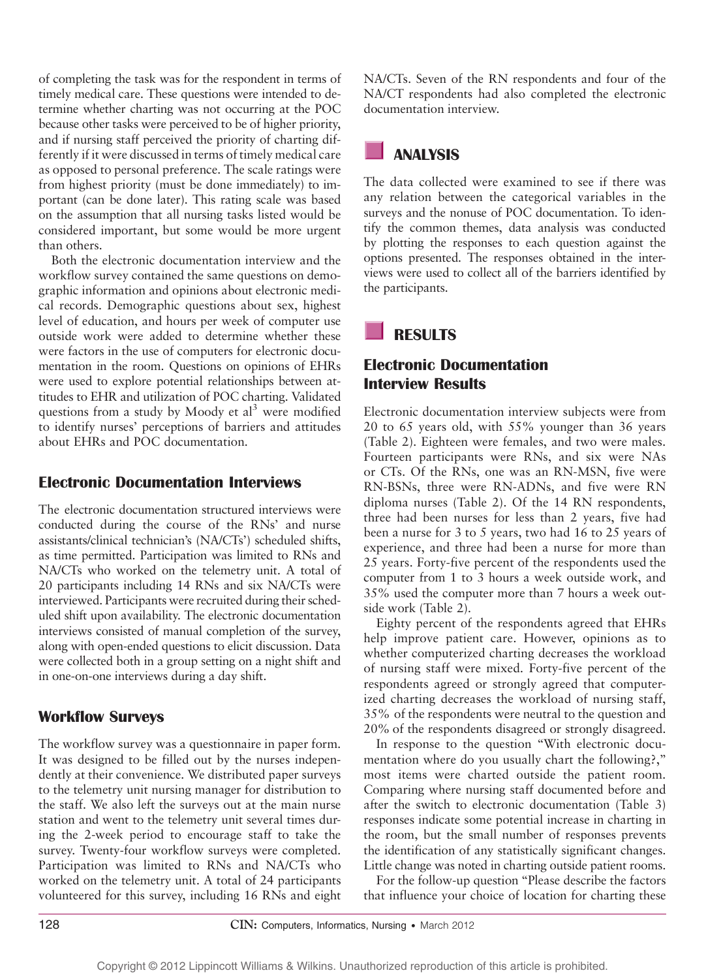of completing the task was for the respondent in terms of timely medical care. These questions were intended to determine whether charting was not occurring at the POC because other tasks were perceived to be of higher priority, and if nursing staff perceived the priority of charting differently if it were discussed in terms of timely medical care as opposed to personal preference. The scale ratings were from highest priority (must be done immediately) to important (can be done later). This rating scale was based on the assumption that all nursing tasks listed would be considered important, but some would be more urgent than others.

Both the electronic documentation interview and the workflow survey contained the same questions on demographic information and opinions about electronic medical records. Demographic questions about sex, highest level of education, and hours per week of computer use outside work were added to determine whether these were factors in the use of computers for electronic documentation in the room. Questions on opinions of EHRs were used to explore potential relationships between attitudes to EHR and utilization of POC charting. Validated questions from a study by Moody et  $al<sup>3</sup>$  were modified to identify nurses' perceptions of barriers and attitudes about EHRs and POC documentation.

### Electronic Documentation Interviews

The electronic documentation structured interviews were conducted during the course of the RNs' and nurse assistants/clinical technician's (NA/CTs') scheduled shifts, as time permitted. Participation was limited to RNs and NA/CTs who worked on the telemetry unit. A total of 20 participants including 14 RNs and six NA/CTs were interviewed. Participants were recruited during their scheduled shift upon availability. The electronic documentation interviews consisted of manual completion of the survey, along with open-ended questions to elicit discussion. Data were collected both in a group setting on a night shift and in one-on-one interviews during a day shift.

# Workflow Surveys

The workflow survey was a questionnaire in paper form. It was designed to be filled out by the nurses independently at their convenience. We distributed paper surveys to the telemetry unit nursing manager for distribution to the staff. We also left the surveys out at the main nurse station and went to the telemetry unit several times during the 2-week period to encourage staff to take the survey. Twenty-four workflow surveys were completed. Participation was limited to RNs and NA/CTs who worked on the telemetry unit. A total of 24 participants volunteered for this survey, including 16 RNs and eight NA/CTs. Seven of the RN respondents and four of the NA/CT respondents had also completed the electronic documentation interview.

# ANALYSIS

The data collected were examined to see if there was any relation between the categorical variables in the surveys and the nonuse of POC documentation. To identify the common themes, data analysis was conducted by plotting the responses to each question against the options presented. The responses obtained in the interviews were used to collect all of the barriers identified by the participants.

# **RESULTS**

## Electronic Documentation Interview Results

Electronic documentation interview subjects were from 20 to 65 years old, with 55% younger than 36 years (Table 2). Eighteen were females, and two were males. Fourteen participants were RNs, and six were NAs or CTs. Of the RNs, one was an RN-MSN, five were RN-BSNs, three were RN-ADNs, and five were RN diploma nurses (Table 2). Of the 14 RN respondents, three had been nurses for less than 2 years, five had been a nurse for 3 to 5 years, two had 16 to 25 years of experience, and three had been a nurse for more than 25 years. Forty-five percent of the respondents used the computer from 1 to 3 hours a week outside work, and 35% used the computer more than 7 hours a week outside work (Table 2).

Eighty percent of the respondents agreed that EHRs help improve patient care. However, opinions as to whether computerized charting decreases the workload of nursing staff were mixed. Forty-five percent of the respondents agreed or strongly agreed that computerized charting decreases the workload of nursing staff, 35% of the respondents were neutral to the question and 20% of the respondents disagreed or strongly disagreed.

In response to the question ''With electronic documentation where do you usually chart the following?," most items were charted outside the patient room. Comparing where nursing staff documented before and after the switch to electronic documentation (Table 3) responses indicate some potential increase in charting in the room, but the small number of responses prevents the identification of any statistically significant changes. Little change was noted in charting outside patient rooms.

For the follow-up question ''Please describe the factors that influence your choice of location for charting these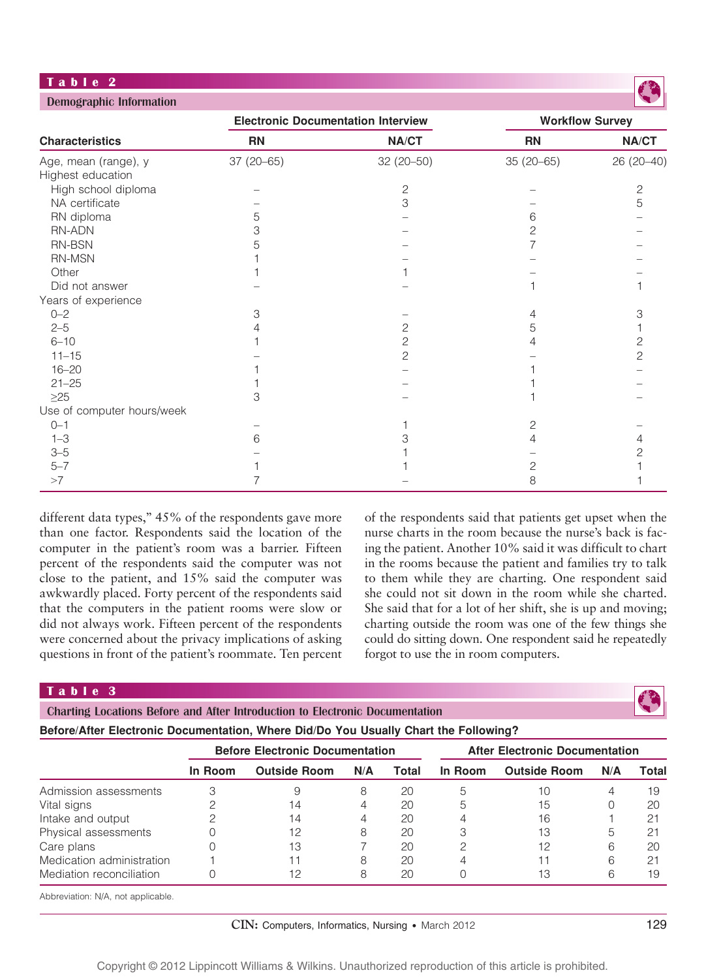Table 2

Demographic Information



|             |                | <b>Workflow Survey</b>                    |            |  |
|-------------|----------------|-------------------------------------------|------------|--|
| <b>RN</b>   | NA/CT          | <b>RN</b>                                 | NA/CT      |  |
| $37(20-65)$ | 32 (20-50)     | 35 (20-65)                                | 26 (20-40) |  |
|             |                |                                           |            |  |
|             | 2              |                                           | 2          |  |
|             | 3              |                                           | 5          |  |
| 5           |                | 6                                         |            |  |
| 3           |                | 2                                         |            |  |
| 5           |                |                                           |            |  |
|             |                |                                           |            |  |
|             |                |                                           |            |  |
|             |                |                                           |            |  |
|             |                |                                           |            |  |
| 3           |                | 4                                         |            |  |
|             | 2              | 5                                         |            |  |
|             | 2              |                                           |            |  |
|             | $\overline{c}$ |                                           | 2          |  |
|             |                |                                           |            |  |
|             |                |                                           |            |  |
| З           |                |                                           |            |  |
|             |                |                                           |            |  |
|             |                | 2                                         |            |  |
| 6           |                | 4                                         |            |  |
|             |                |                                           |            |  |
|             |                | 2                                         |            |  |
|             |                | 8                                         |            |  |
|             |                | <b>Electronic Documentation Interview</b> |            |  |

different data types," 45% of the respondents gave more than one factor. Respondents said the location of the computer in the patient's room was a barrier. Fifteen percent of the respondents said the computer was not close to the patient, and 15% said the computer was awkwardly placed. Forty percent of the respondents said that the computers in the patient rooms were slow or did not always work. Fifteen percent of the respondents were concerned about the privacy implications of asking questions in front of the patient's roommate. Ten percent of the respondents said that patients get upset when the nurse charts in the room because the nurse's back is facing the patient. Another 10% said it was difficult to chart in the rooms because the patient and families try to talk to them while they are charting. One respondent said she could not sit down in the room while she charted. She said that for a lot of her shift, she is up and moving; charting outside the room was one of the few things she could do sitting down. One respondent said he repeatedly forgot to use the in room computers.

#### Table 3

Charting Locations Before and After Introduction to Electronic Documentation

Before/After Electronic Documentation, Where Did/Do You Usually Chart the Following?

|                           | <b>Before Electronic Documentation</b> |                     |     | <b>After Electronic Documentation</b> |         |                     |     |       |
|---------------------------|----------------------------------------|---------------------|-----|---------------------------------------|---------|---------------------|-----|-------|
|                           | In Room                                | <b>Outside Room</b> | N/A | Total                                 | In Room | <b>Outside Room</b> | N/A | Total |
| Admission assessments     | З                                      | 9                   | 8   | 20                                    | 5.      | 10                  |     | 19    |
| Vital signs               |                                        | 14                  |     | 20                                    | .h      | 15                  |     | 20    |
| Intake and output         |                                        | 14                  |     | 20                                    |         | 16                  |     | 21    |
| Physical assessments      |                                        | 12                  | 8   | 20                                    |         | 13                  | 5   | 21    |
| Care plans                |                                        | 13                  |     | 20                                    |         | 12                  | 6   | 20    |
| Medication administration |                                        |                     | 8   | 20                                    |         |                     | 6   | 21    |
| Mediation reconciliation  |                                        | 12                  | 8   | 20                                    |         | 13                  | 6   | 19    |

Abbreviation: N/A, not applicable.

CIN: Computers, Informatics, Nursing . March 2012 129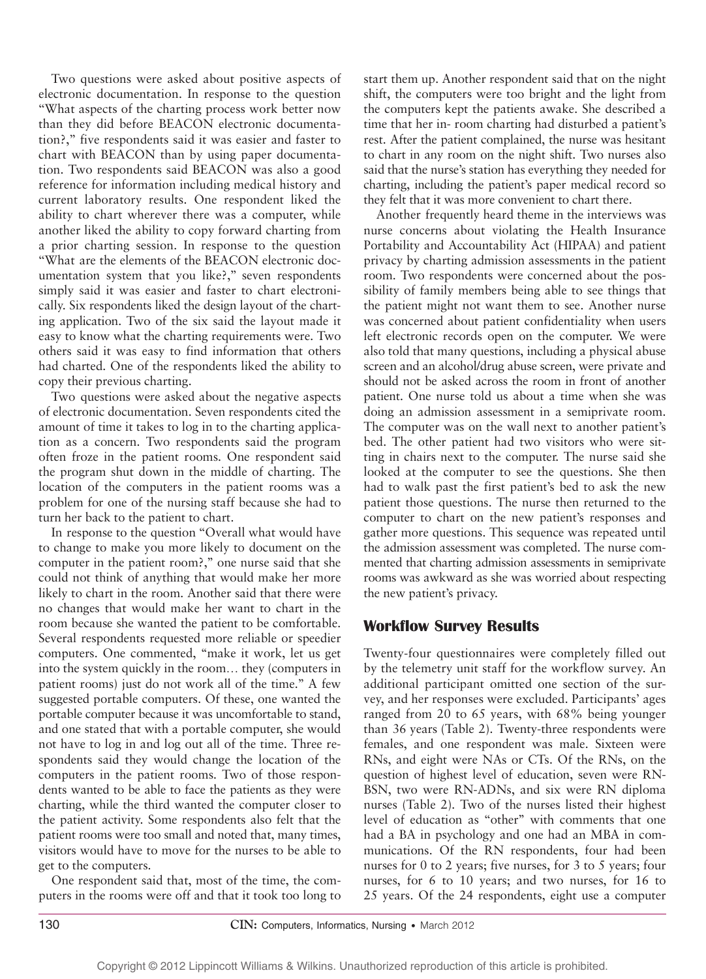Two questions were asked about positive aspects of electronic documentation. In response to the question ''What aspects of the charting process work better now than they did before BEACON electronic documentation?,'' five respondents said it was easier and faster to chart with BEACON than by using paper documentation. Two respondents said BEACON was also a good reference for information including medical history and current laboratory results. One respondent liked the ability to chart wherever there was a computer, while another liked the ability to copy forward charting from a prior charting session. In response to the question ''What are the elements of the BEACON electronic documentation system that you like?," seven respondents simply said it was easier and faster to chart electronically. Six respondents liked the design layout of the charting application. Two of the six said the layout made it easy to know what the charting requirements were. Two others said it was easy to find information that others had charted. One of the respondents liked the ability to copy their previous charting.

Two questions were asked about the negative aspects of electronic documentation. Seven respondents cited the amount of time it takes to log in to the charting application as a concern. Two respondents said the program often froze in the patient rooms. One respondent said the program shut down in the middle of charting. The location of the computers in the patient rooms was a problem for one of the nursing staff because she had to turn her back to the patient to chart.

In response to the question "Overall what would have to change to make you more likely to document on the computer in the patient room?," one nurse said that she could not think of anything that would make her more likely to chart in the room. Another said that there were no changes that would make her want to chart in the room because she wanted the patient to be comfortable. Several respondents requested more reliable or speedier computers. One commented, ''make it work, let us get into the system quickly in the room... they (computers in patient rooms) just do not work all of the time.'' A few suggested portable computers. Of these, one wanted the portable computer because it was uncomfortable to stand, and one stated that with a portable computer, she would not have to log in and log out all of the time. Three respondents said they would change the location of the computers in the patient rooms. Two of those respondents wanted to be able to face the patients as they were charting, while the third wanted the computer closer to the patient activity. Some respondents also felt that the patient rooms were too small and noted that, many times, visitors would have to move for the nurses to be able to get to the computers.

One respondent said that, most of the time, the computers in the rooms were off and that it took too long to start them up. Another respondent said that on the night shift, the computers were too bright and the light from the computers kept the patients awake. She described a time that her in- room charting had disturbed a patient's rest. After the patient complained, the nurse was hesitant to chart in any room on the night shift. Two nurses also said that the nurse's station has everything they needed for charting, including the patient's paper medical record so they felt that it was more convenient to chart there.

Another frequently heard theme in the interviews was nurse concerns about violating the Health Insurance Portability and Accountability Act (HIPAA) and patient privacy by charting admission assessments in the patient room. Two respondents were concerned about the possibility of family members being able to see things that the patient might not want them to see. Another nurse was concerned about patient confidentiality when users left electronic records open on the computer. We were also told that many questions, including a physical abuse screen and an alcohol/drug abuse screen, were private and should not be asked across the room in front of another patient. One nurse told us about a time when she was doing an admission assessment in a semiprivate room. The computer was on the wall next to another patient's bed. The other patient had two visitors who were sitting in chairs next to the computer. The nurse said she looked at the computer to see the questions. She then had to walk past the first patient's bed to ask the new patient those questions. The nurse then returned to the computer to chart on the new patient's responses and gather more questions. This sequence was repeated until the admission assessment was completed. The nurse commented that charting admission assessments in semiprivate rooms was awkward as she was worried about respecting the new patient's privacy.

# Workflow Survey Results

Twenty-four questionnaires were completely filled out by the telemetry unit staff for the workflow survey. An additional participant omitted one section of the survey, and her responses were excluded. Participants' ages ranged from 20 to 65 years, with 68% being younger than 36 years (Table 2). Twenty-three respondents were females, and one respondent was male. Sixteen were RNs, and eight were NAs or CTs. Of the RNs, on the question of highest level of education, seven were RN-BSN, two were RN-ADNs, and six were RN diploma nurses (Table 2). Two of the nurses listed their highest level of education as ''other'' with comments that one had a BA in psychology and one had an MBA in communications. Of the RN respondents, four had been nurses for 0 to 2 years; five nurses, for 3 to 5 years; four nurses, for 6 to 10 years; and two nurses, for 16 to 25 years. Of the 24 respondents, eight use a computer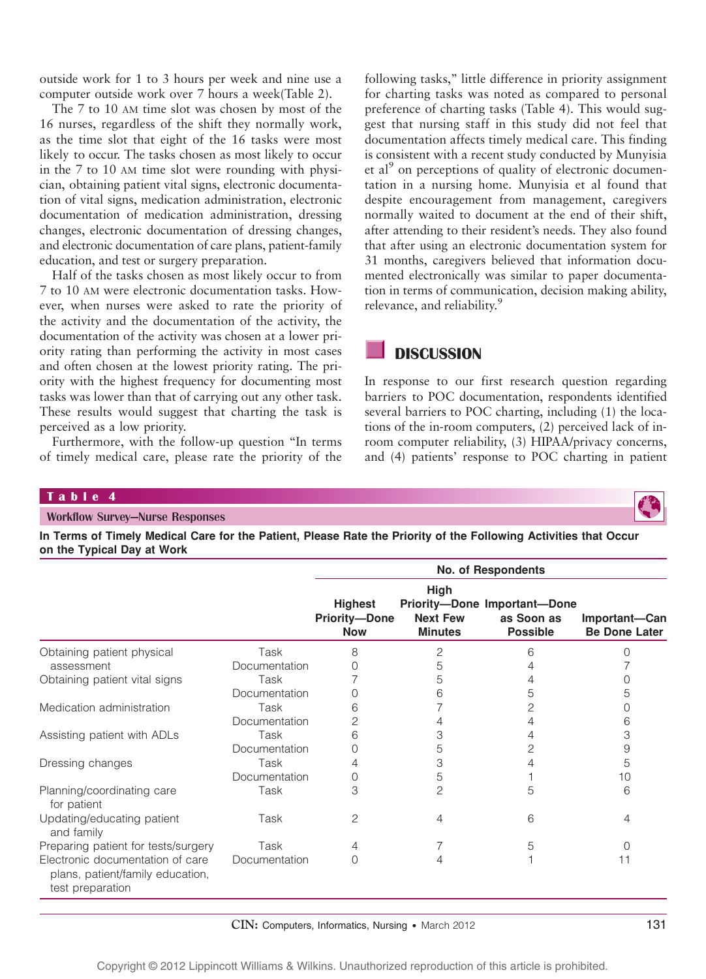outside work for 1 to 3 hours per week and nine use a computer outside work over 7 hours a week(Table 2).

The 7 to 10 AM time slot was chosen by most of the 16 nurses, regardless of the shift they normally work, as the time slot that eight of the 16 tasks were most likely to occur. The tasks chosen as most likely to occur in the 7 to 10 AM time slot were rounding with physician, obtaining patient vital signs, electronic documentation of vital signs, medication administration, electronic documentation of medication administration, dressing changes, electronic documentation of dressing changes, and electronic documentation of care plans, patient-family education, and test or surgery preparation.

Half of the tasks chosen as most likely occur to from 7 to 10 AM were electronic documentation tasks. However, when nurses were asked to rate the priority of the activity and the documentation of the activity, the documentation of the activity was chosen at a lower priority rating than performing the activity in most cases and often chosen at the lowest priority rating. The priority with the highest frequency for documenting most tasks was lower than that of carrying out any other task. These results would suggest that charting the task is perceived as a low priority.

Furthermore, with the follow-up question ''In terms of timely medical care, please rate the priority of the following tasks," little difference in priority assignment for charting tasks was noted as compared to personal preference of charting tasks (Table 4). This would suggest that nursing staff in this study did not feel that documentation affects timely medical care. This finding is consistent with a recent study conducted by Munyisia et al<sup>9</sup> on perceptions of quality of electronic documentation in a nursing home. Munyisia et al found that despite encouragement from management, caregivers normally waited to document at the end of their shift, after attending to their resident's needs. They also found that after using an electronic documentation system for 31 months, caregivers believed that information documented electronically was similar to paper documentation in terms of communication, decision making ability, relevance, and reliability.<sup>9</sup>

# **DISCUSSION**

In response to our first research question regarding barriers to POC documentation, respondents identified several barriers to POC charting, including (1) the locations of the in-room computers, (2) perceived lack of inroom computer reliability, (3) HIPAA/privacy concerns, and (4) patients' response to POC charting in patient

#### Table 4

#### Workflow Survey—Nurse Responses

In Terms of Timely Medical Care for the Patient, Please Rate the Priority of the Following Activities that Occur on the Typical Day at Work

|                                                                                          |               | <b>No. of Respondents</b>                            |                                           |                                                               |                                       |
|------------------------------------------------------------------------------------------|---------------|------------------------------------------------------|-------------------------------------------|---------------------------------------------------------------|---------------------------------------|
|                                                                                          |               | <b>Highest</b><br><b>Priority-Done</b><br><b>Now</b> | High<br><b>Next Few</b><br><b>Minutes</b> | Priority-Done Important-Done<br>as Soon as<br><b>Possible</b> | Important-Can<br><b>Be Done Later</b> |
| Obtaining patient physical                                                               | Task          | 8                                                    | 2                                         | 6                                                             |                                       |
| assessment                                                                               | Documentation |                                                      | 5                                         |                                                               |                                       |
| Obtaining patient vital signs                                                            | Task          |                                                      | 5                                         |                                                               |                                       |
|                                                                                          | Documentation |                                                      | h                                         | 5                                                             | 5                                     |
| Medication administration                                                                | Task          | 6                                                    |                                           | 2                                                             |                                       |
|                                                                                          | Documentation |                                                      |                                           |                                                               | 6                                     |
| Assisting patient with ADLs                                                              | Task          | 6                                                    |                                           |                                                               | 3                                     |
|                                                                                          | Documentation |                                                      | 5                                         | 2                                                             | 9                                     |
| Dressing changes                                                                         | Task          |                                                      | 3                                         |                                                               | 5                                     |
|                                                                                          | Documentation |                                                      | 5                                         |                                                               | 10                                    |
| Planning/coordinating care<br>for patient                                                | Task          | З                                                    | $\overline{c}$                            | 5                                                             | 6                                     |
| Updating/educating patient<br>and family                                                 | Task          | 2                                                    | 4                                         | 6                                                             | 4                                     |
| Preparing patient for tests/surgery                                                      | Task          |                                                      |                                           | 5                                                             |                                       |
| Electronic documentation of care<br>plans, patient/family education,<br>test preparation | Documentation | 0                                                    |                                           |                                                               | 11                                    |

CIN: Computers, Informatics, Nursing • March 2012 131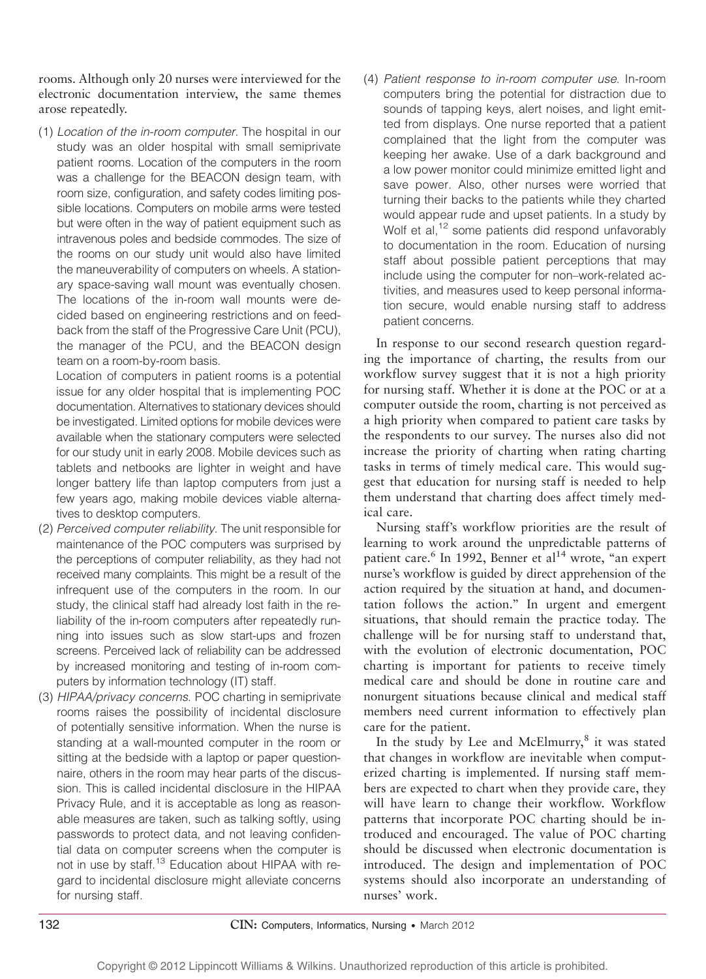rooms. Although only 20 nurses were interviewed for the electronic documentation interview, the same themes arose repeatedly.

(1) Location of the in-room computer. The hospital in our study was an older hospital with small semiprivate patient rooms. Location of the computers in the room was a challenge for the BEACON design team, with room size, configuration, and safety codes limiting possible locations. Computers on mobile arms were tested but were often in the way of patient equipment such as intravenous poles and bedside commodes. The size of the rooms on our study unit would also have limited the maneuverability of computers on wheels. A stationary space-saving wall mount was eventually chosen. The locations of the in-room wall mounts were decided based on engineering restrictions and on feedback from the staff of the Progressive Care Unit (PCU), the manager of the PCU, and the BEACON design team on a room-by-room basis.

Location of computers in patient rooms is a potential issue for any older hospital that is implementing POC documentation. Alternatives to stationary devices should be investigated. Limited options for mobile devices were available when the stationary computers were selected for our study unit in early 2008. Mobile devices such as tablets and netbooks are lighter in weight and have longer battery life than laptop computers from just a few years ago, making mobile devices viable alternatives to desktop computers.

- (2) Perceived computer reliability. The unit responsible for maintenance of the POC computers was surprised by the perceptions of computer reliability, as they had not received many complaints. This might be a result of the infrequent use of the computers in the room. In our study, the clinical staff had already lost faith in the reliability of the in-room computers after repeatedly running into issues such as slow start-ups and frozen screens. Perceived lack of reliability can be addressed by increased monitoring and testing of in-room computers by information technology (IT) staff.
- (3) HIPAA/privacy concerns. POC charting in semiprivate rooms raises the possibility of incidental disclosure of potentially sensitive information. When the nurse is standing at a wall-mounted computer in the room or sitting at the bedside with a laptop or paper questionnaire, others in the room may hear parts of the discussion. This is called incidental disclosure in the HIPAA Privacy Rule, and it is acceptable as long as reasonable measures are taken, such as talking softly, using passwords to protect data, and not leaving confidential data on computer screens when the computer is not in use by staff.<sup>13</sup> Education about HIPAA with regard to incidental disclosure might alleviate concerns for nursing staff.

(4) Patient response to in-room computer use. In-room computers bring the potential for distraction due to sounds of tapping keys, alert noises, and light emitted from displays. One nurse reported that a patient complained that the light from the computer was keeping her awake. Use of a dark background and a low power monitor could minimize emitted light and save power. Also, other nurses were worried that turning their backs to the patients while they charted would appear rude and upset patients. In a study by Wolf et al,<sup>12</sup> some patients did respond unfavorably to documentation in the room. Education of nursing staff about possible patient perceptions that may include using the computer for non–work-related activities, and measures used to keep personal information secure, would enable nursing staff to address patient concerns.

In response to our second research question regarding the importance of charting, the results from our workflow survey suggest that it is not a high priority for nursing staff. Whether it is done at the POC or at a computer outside the room, charting is not perceived as a high priority when compared to patient care tasks by the respondents to our survey. The nurses also did not increase the priority of charting when rating charting tasks in terms of timely medical care. This would suggest that education for nursing staff is needed to help them understand that charting does affect timely medical care.

Nursing staff's workflow priorities are the result of learning to work around the unpredictable patterns of patient care.<sup>6</sup> In 1992, Benner et al<sup>14</sup> wrote, "an expert nurse's workflow is guided by direct apprehension of the action required by the situation at hand, and documentation follows the action.'' In urgent and emergent situations, that should remain the practice today. The challenge will be for nursing staff to understand that, with the evolution of electronic documentation, POC charting is important for patients to receive timely medical care and should be done in routine care and nonurgent situations because clinical and medical staff members need current information to effectively plan care for the patient.

In the study by Lee and McElmurry, $8$  it was stated that changes in workflow are inevitable when computerized charting is implemented. If nursing staff members are expected to chart when they provide care, they will have learn to change their workflow. Workflow patterns that incorporate POC charting should be introduced and encouraged. The value of POC charting should be discussed when electronic documentation is introduced. The design and implementation of POC systems should also incorporate an understanding of nurses' work.